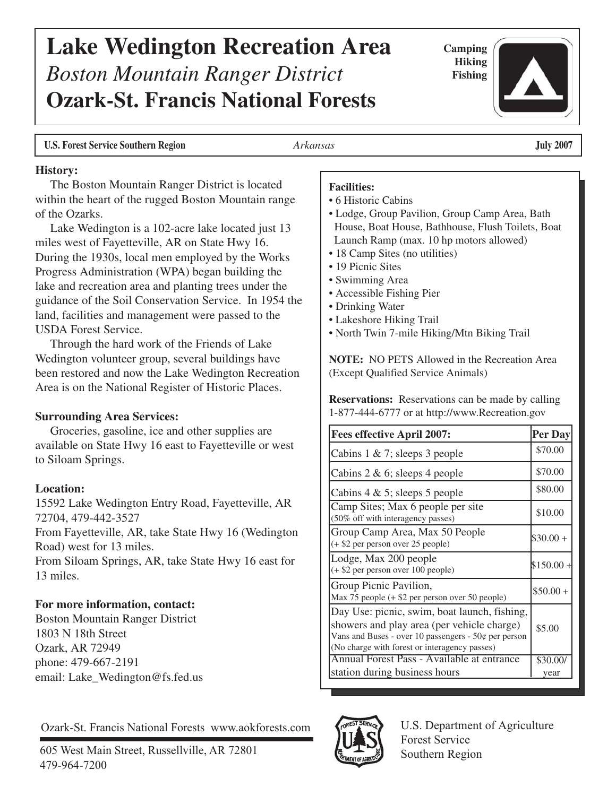#### The Boston Mountain Ranger District is located within the heart of the rugged Boston Mountain range of the Ozarks. Lake Wedington is a 102-acre lake located just 13 miles west of Fayetteville, AR on State Hwy 16. During the 1930s, local men employed by the Works Progress Administration (WPA) began building the lake and recreation area and planting trees under the guidance of the Soil Conservation Service. In 1954 the land, facilities and management were passed to the USDA Forest Service. Through the hard work of the Friends of Lake Wedington volunteer group, several buildings have been restored and now the Lake Wedington Recreation Area is on the National Register of Historic Places. **Surrounding Area Services:** Groceries, gasoline, ice and other supplies are available on State Hwy 16 east to Fayetteville or west to Siloam Springs. **Location:** 15592 Lake Wedington Entry Road, Fayetteville, AR 72704, 479-442-3527 From Fayetteville, AR, take State Hwy 16 (Wedington Road) west for 13 miles. From Siloam Springs, AR, take State Hwy 16 east for 13 miles. **For more information, contact:** Boston Mountain Ranger District 1803 N 18th Street Ozark, AR 72949 phone: 479-667-2191 email: Lake\_Wedington@fs.fed.us 605 West Main Street, Russellville, AR 72801 Ozark-St. Francis National Forests www.aokforests.com <br>
TAS U.S. Department of Agriculture<br>
Forest Service Southern Region Southern Region **Facilities:** • 6 Historic Cabins • Lodge, Group Pavilion, Group Camp Area, Bath House, Boat House, Bathhouse, Flush Toilets, Boat Launch Ramp (max. 10 hp motors allowed) • 18 Camp Sites (no utilities) • 19 Picnic Sites • Swimming Area • Accessible Fishing Pier • Drinking Water • Lakeshore Hiking Trail • North Twin 7-mile Hiking/Mtn Biking Trail **NOTE:** NO PETS Allowed in the Recreation Area (Except Qualified Service Animals) **Reservations:** Reservations can be made by calling 1-877-444-6777 or at http://www.Recreation.gov **Fees effective April 2007: Per Day** Cabins 1 & 7; sleeps 3 people Cabins 2 & 6; sleeps 4 people Cabins  $4 \& 5$ ; sleeps  $5$  people Camp Sites; Max 6 people per site (50% off with interagency passes) Group Camp Area, Max 50 People (+ \$2 per person over 25 people) Lodge, Max 200 people (+ \$2 per person over 100 people) Group Picnic Pavilion, Max 75 people (+ \$2 per person over 50 people) Day Use: picnic, swim, boat launch, fishing, showers and play area (per vehicle charge) Vans and Buses - over 10 passengers -  $50¢$  per person (No charge with forest or interagency passes) Annual Forest Pass - Available at entrance station during business hours \$70.00 \$70.00 \$80.00 \$10.00  $$30.00 +$  $$150.00 +$  $$50.00 +$ \$5.00 \$30.00/ year

# **Lake Wedington Recreation Area** *Boston Mountain Ranger District*  **Ozark-St. Francis National Forests**

**Camping Hiking Fishing**

### **U.S. Forest Service Southern Region** *Arkansas* **July 2007**

#### **History:**